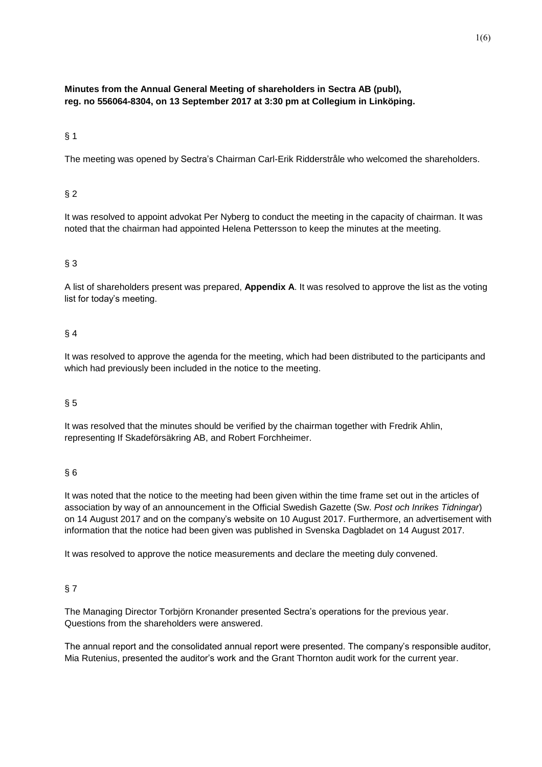## **Minutes from the Annual General Meeting of shareholders in Sectra AB (publ), reg. no 556064-8304, on 13 September 2017 at 3:30 pm at Collegium in Linköping.**

## $§ 1$

The meeting was opened by Sectra's Chairman Carl-Erik Ridderstråle who welcomed the shareholders.

## § 2

It was resolved to appoint advokat Per Nyberg to conduct the meeting in the capacity of chairman. It was noted that the chairman had appointed Helena Pettersson to keep the minutes at the meeting.

### § 3

A list of shareholders present was prepared, **Appendix A**. It was resolved to approve the list as the voting list for today's meeting.

#### § 4

It was resolved to approve the agenda for the meeting, which had been distributed to the participants and which had previously been included in the notice to the meeting.

#### § 5

It was resolved that the minutes should be verified by the chairman together with Fredrik Ahlin, representing If Skadeförsäkring AB, and Robert Forchheimer.

#### § 6

It was noted that the notice to the meeting had been given within the time frame set out in the articles of association by way of an announcement in the Official Swedish Gazette (Sw. *Post och Inrikes Tidningar*) on 14 August 2017 and on the company's website on 10 August 2017. Furthermore, an advertisement with information that the notice had been given was published in Svenska Dagbladet on 14 August 2017.

It was resolved to approve the notice measurements and declare the meeting duly convened.

#### § 7

The Managing Director Torbjörn Kronander presented Sectra's operations for the previous year. Questions from the shareholders were answered.

The annual report and the consolidated annual report were presented. The company's responsible auditor, Mia Rutenius, presented the auditor's work and the Grant Thornton audit work for the current year.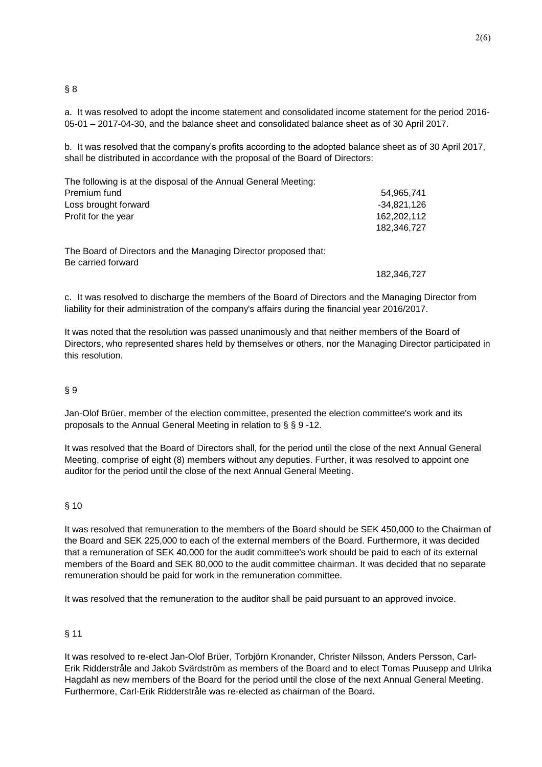## $§ 8$

a. It was resolved to adopt the income statement and consolidated income statement for the period 2016- 05-01 – 2017-04-30, and the balance sheet and consolidated balance sheet as of 30 April 2017.

b. It was resolved that the company's profits according to the adopted balance sheet as of 30 April 2017, shall be distributed in accordance with the proposal of the Board of Directors:

| The following is at the disposal of the Annual General Meeting: |               |
|-----------------------------------------------------------------|---------------|
| Premium fund                                                    | 54,965,741    |
| Loss brought forward                                            | $-34,821,126$ |
| Profit for the year                                             | 162,202,112   |
|                                                                 | 182,346,727   |
| The Board of Directors and the Managing Director proposed that: |               |
| Be carried forward                                              | 182,346,727   |

c. It was resolved to discharge the members of the Board of Directors and the Managing Director from liability for their administration of the company's affairs during the financial year 2016/2017.

It was noted that the resolution was passed unanimously and that neither members of the Board of Directors, who represented shares held by themselves or others, nor the Managing Director participated in this resolution.

## § 9

Jan-Olof Brüer, member of the election committee, presented the election committee's work and its proposals to the Annual General Meeting in relation to § § 9 -12.

It was resolved that the Board of Directors shall, for the period until the close of the next Annual General Meeting, comprise of eight (8) members without any deputies. Further, it was resolved to appoint one auditor for the period until the close of the next Annual General Meeting.

#### § 10

It was resolved that remuneration to the members of the Board should be SEK 450,000 to the Chairman of the Board and SEK 225,000 to each of the external members of the Board. Furthermore, it was decided that a remuneration of SEK 40,000 for the audit committee's work should be paid to each of its external members of the Board and SEK 80,000 to the audit committee chairman. It was decided that no separate remuneration should be paid for work in the remuneration committee.

It was resolved that the remuneration to the auditor shall be paid pursuant to an approved invoice.

## § 11

It was resolved to re-elect Jan-Olof Brüer, Torbjörn Kronander, Christer Nilsson, Anders Persson, Carl-Erik Ridderstråle and Jakob Svärdström as members of the Board and to elect Tomas Puusepp and Ulrika Hagdahl as new members of the Board for the period until the close of the next Annual General Meeting. Furthermore, Carl-Erik Ridderstråle was re-elected as chairman of the Board.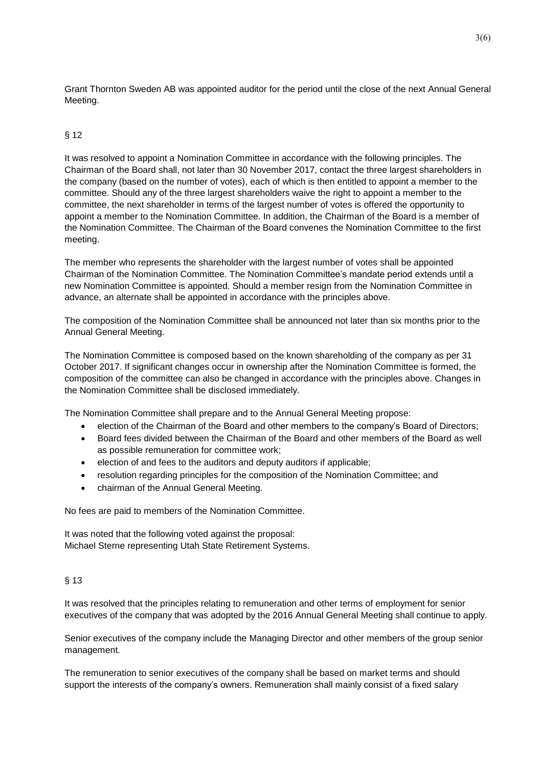Grant Thornton Sweden AB was appointed auditor for the period until the close of the next Annual General Meeting.

### § 12

It was resolved to appoint a Nomination Committee in accordance with the following principles. The Chairman of the Board shall, not later than 30 November 2017, contact the three largest shareholders in the company (based on the number of votes), each of which is then entitled to appoint a member to the committee. Should any of the three largest shareholders waive the right to appoint a member to the committee, the next shareholder in terms of the largest number of votes is offered the opportunity to appoint a member to the Nomination Committee. In addition, the Chairman of the Board is a member of the Nomination Committee. The Chairman of the Board convenes the Nomination Committee to the first meeting.

The member who represents the shareholder with the largest number of votes shall be appointed Chairman of the Nomination Committee. The Nomination Committee's mandate period extends until a new Nomination Committee is appointed. Should a member resign from the Nomination Committee in advance, an alternate shall be appointed in accordance with the principles above.

The composition of the Nomination Committee shall be announced not later than six months prior to the Annual General Meeting.

The Nomination Committee is composed based on the known shareholding of the company as per 31 October 2017. If significant changes occur in ownership after the Nomination Committee is formed, the composition of the committee can also be changed in accordance with the principles above. Changes in the Nomination Committee shall be disclosed immediately.

The Nomination Committee shall prepare and to the Annual General Meeting propose:

- election of the Chairman of the Board and other members to the company's Board of Directors;
- Board fees divided between the Chairman of the Board and other members of the Board as well as possible remuneration for committee work;
- election of and fees to the auditors and deputy auditors if applicable;
- resolution regarding principles for the composition of the Nomination Committee; and
- chairman of the Annual General Meeting.

No fees are paid to members of the Nomination Committee.

It was noted that the following voted against the proposal: Michael Sterne representing Utah State Retirement Systems.

#### § 13

It was resolved that the principles relating to remuneration and other terms of employment for senior executives of the company that was adopted by the 2016 Annual General Meeting shall continue to apply.

Senior executives of the company include the Managing Director and other members of the group senior management.

The remuneration to senior executives of the company shall be based on market terms and should support the interests of the company's owners. Remuneration shall mainly consist of a fixed salary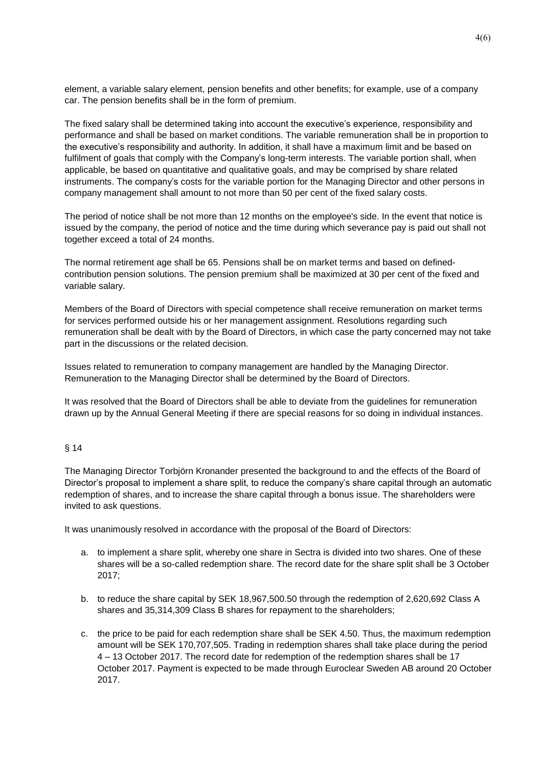element, a variable salary element, pension benefits and other benefits; for example, use of a company car. The pension benefits shall be in the form of premium.

The fixed salary shall be determined taking into account the executive's experience, responsibility and performance and shall be based on market conditions. The variable remuneration shall be in proportion to the executive's responsibility and authority. In addition, it shall have a maximum limit and be based on fulfilment of goals that comply with the Company's long-term interests. The variable portion shall, when applicable, be based on quantitative and qualitative goals, and may be comprised by share related instruments. The company's costs for the variable portion for the Managing Director and other persons in company management shall amount to not more than 50 per cent of the fixed salary costs.

The period of notice shall be not more than 12 months on the employee's side. In the event that notice is issued by the company, the period of notice and the time during which severance pay is paid out shall not together exceed a total of 24 months.

The normal retirement age shall be 65. Pensions shall be on market terms and based on definedcontribution pension solutions. The pension premium shall be maximized at 30 per cent of the fixed and variable salary.

Members of the Board of Directors with special competence shall receive remuneration on market terms for services performed outside his or her management assignment. Resolutions regarding such remuneration shall be dealt with by the Board of Directors, in which case the party concerned may not take part in the discussions or the related decision.

Issues related to remuneration to company management are handled by the Managing Director. Remuneration to the Managing Director shall be determined by the Board of Directors.

It was resolved that the Board of Directors shall be able to deviate from the guidelines for remuneration drawn up by the Annual General Meeting if there are special reasons for so doing in individual instances.

#### § 14

The Managing Director Torbjörn Kronander presented the background to and the effects of the Board of Director's proposal to implement a share split, to reduce the company's share capital through an automatic redemption of shares, and to increase the share capital through a bonus issue. The shareholders were invited to ask questions.

It was unanimously resolved in accordance with the proposal of the Board of Directors:

- a. to implement a share split, whereby one share in Sectra is divided into two shares. One of these shares will be a so-called redemption share. The record date for the share split shall be 3 October 2017;
- b. to reduce the share capital by SEK 18,967,500.50 through the redemption of 2,620,692 Class A shares and 35,314,309 Class B shares for repayment to the shareholders;
- c. the price to be paid for each redemption share shall be SEK 4.50. Thus, the maximum redemption amount will be SEK 170,707,505. Trading in redemption shares shall take place during the period 4 – 13 October 2017. The record date for redemption of the redemption shares shall be 17 October 2017. Payment is expected to be made through Euroclear Sweden AB around 20 October 2017.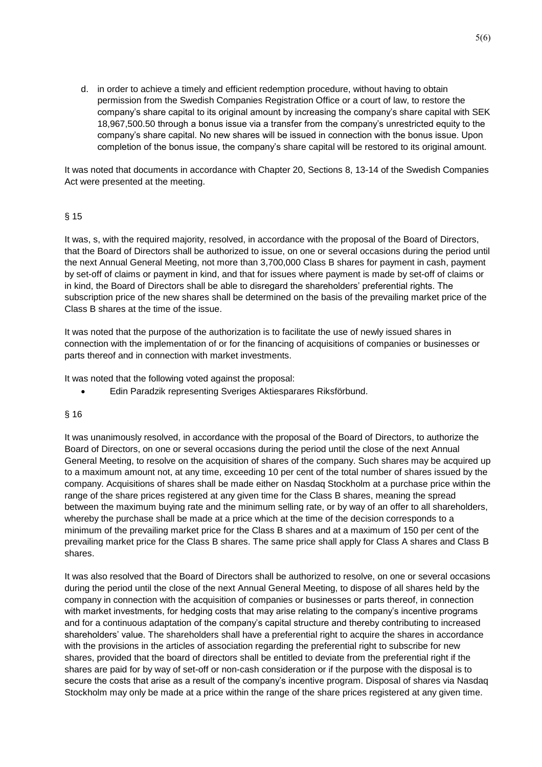d. in order to achieve a timely and efficient redemption procedure, without having to obtain permission from the Swedish Companies Registration Office or a court of law, to restore the company's share capital to its original amount by increasing the company's share capital with SEK 18,967,500.50 through a bonus issue via a transfer from the company's unrestricted equity to the company's share capital. No new shares will be issued in connection with the bonus issue. Upon completion of the bonus issue, the company's share capital will be restored to its original amount.

It was noted that documents in accordance with Chapter 20, Sections 8, 13-14 of the Swedish Companies Act were presented at the meeting.

#### § 15

It was, s, with the required majority, resolved, in accordance with the proposal of the Board of Directors, that the Board of Directors shall be authorized to issue, on one or several occasions during the period until the next Annual General Meeting, not more than 3,700,000 Class B shares for payment in cash, payment by set-off of claims or payment in kind, and that for issues where payment is made by set-off of claims or in kind, the Board of Directors shall be able to disregard the shareholders' preferential rights. The subscription price of the new shares shall be determined on the basis of the prevailing market price of the Class B shares at the time of the issue.

It was noted that the purpose of the authorization is to facilitate the use of newly issued shares in connection with the implementation of or for the financing of acquisitions of companies or businesses or parts thereof and in connection with market investments.

It was noted that the following voted against the proposal:

• Edin Paradzik representing Sveriges Aktiesparares Riksförbund.

#### § 16

It was unanimously resolved, in accordance with the proposal of the Board of Directors, to authorize the Board of Directors, on one or several occasions during the period until the close of the next Annual General Meeting, to resolve on the acquisition of shares of the company. Such shares may be acquired up to a maximum amount not, at any time, exceeding 10 per cent of the total number of shares issued by the company. Acquisitions of shares shall be made either on Nasdaq Stockholm at a purchase price within the range of the share prices registered at any given time for the Class B shares, meaning the spread between the maximum buying rate and the minimum selling rate, or by way of an offer to all shareholders, whereby the purchase shall be made at a price which at the time of the decision corresponds to a minimum of the prevailing market price for the Class B shares and at a maximum of 150 per cent of the prevailing market price for the Class B shares. The same price shall apply for Class A shares and Class B shares.

It was also resolved that the Board of Directors shall be authorized to resolve, on one or several occasions during the period until the close of the next Annual General Meeting, to dispose of all shares held by the company in connection with the acquisition of companies or businesses or parts thereof, in connection with market investments, for hedging costs that may arise relating to the company's incentive programs and for a continuous adaptation of the company's capital structure and thereby contributing to increased shareholders' value. The shareholders shall have a preferential right to acquire the shares in accordance with the provisions in the articles of association regarding the preferential right to subscribe for new shares, provided that the board of directors shall be entitled to deviate from the preferential right if the shares are paid for by way of set-off or non-cash consideration or if the purpose with the disposal is to secure the costs that arise as a result of the company's incentive program. Disposal of shares via Nasdaq Stockholm may only be made at a price within the range of the share prices registered at any given time.